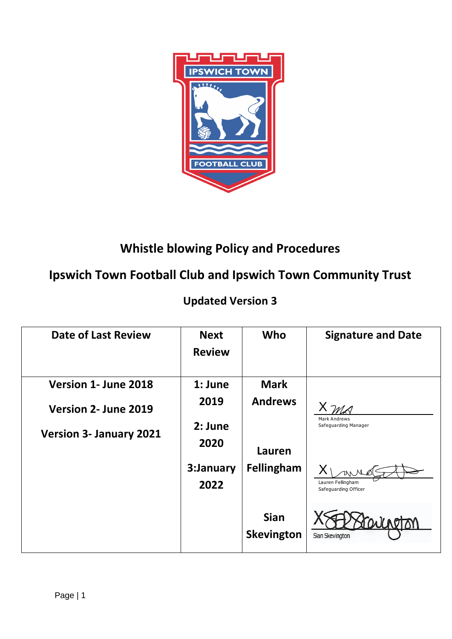

# **Whistle blowing Policy and Procedures**

## **Ipswich Town Football Club and Ipswich Town Community Trust**

## **Updated Version 3**

| <b>Date of Last Review</b>     | <b>Next</b><br><b>Review</b> | Who                              | <b>Signature and Date</b>                   |
|--------------------------------|------------------------------|----------------------------------|---------------------------------------------|
| Version 1- June 2018           | 1: June                      | <b>Mark</b>                      |                                             |
| Version 2- June 2019           | 2019                         | <b>Andrews</b>                   |                                             |
| <b>Version 3- January 2021</b> | 2: June<br>2020              | Lauren                           | <b>Mark Andrews</b><br>Safeguarding Manager |
|                                | 3:January<br>2022            | Fellingham                       | Lauren Fellingham<br>Safeguarding Officer   |
|                                |                              | <b>Sian</b><br><b>Skevington</b> | WLAPTOM<br>Sian Skevington                  |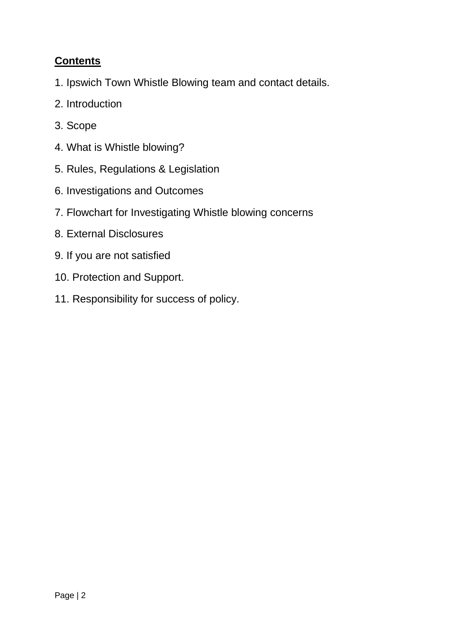## **Contents**

- 1. Ipswich Town Whistle Blowing team and contact details.
- 2. Introduction
- 3. Scope
- 4. What is Whistle blowing?
- 5. Rules, Regulations & Legislation
- 6. Investigations and Outcomes
- 7. Flowchart for Investigating Whistle blowing concerns
- 8. External Disclosures
- 9. If you are not satisfied
- 10. Protection and Support.
- 11. Responsibility for success of policy.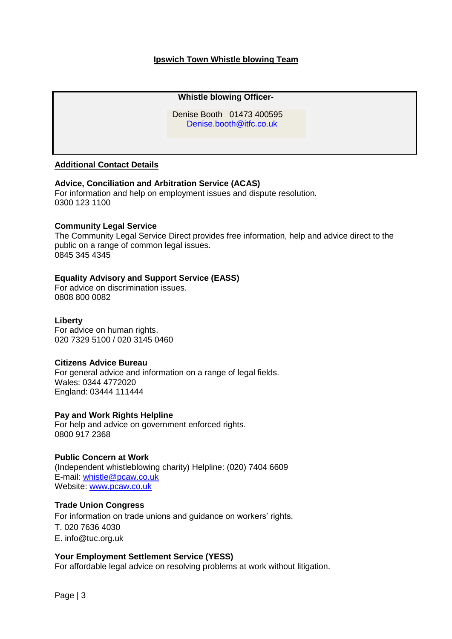## **Ipswich Town Whistle blowing Team**

#### **Whistle blowing Officer-**

**De** Denise Booth 01473 400595 [Denise.booth@itfc.co.uk](mailto:Denise.booth@itfc.co.uk) 

## **Additional Contact Details**

#### **[Advice, Conciliation and Arbitration Service](http://www.acas.org.uk/) (ACAS)**

For information and help on employment issues and dispute resolution. 0300 123 1100

#### **[Community Legal Service](http://www.legalservices.gov.uk/)**

The Community Legal Service Direct provides free information, help and advice direct to the public on a range of common legal issues. 0845 345 4345

#### **[Equality Advisory and Support Service](http://www.equalityadvisoryservice.com/) (EASS)**

For advice on discrimination issues. 0808 800 0082

#### **[Liberty](http://www.liberty-human-rights.org.uk/)**

For advice on human rights. 020 7329 5100 / 020 3145 0460

#### **[Citizens Advice Bureau](http://www.citizensadvice.org.uk/)**

For general advice and information on a range of legal fields. Wales: 0344 4772020 England: 03444 111444

#### **[Pay and Work Rights Helpline](https://www.gov.uk/pay-and-work-rights)**

For help and advice on government enforced rights. 0800 917 2368

#### **Public Concern at Work**

(Independent whistleblowing charity) Helpline: (020) 7404 6609 E-mail: [whistle@pcaw.co.uk](mailto:whistle@pcaw.co.uk) Website: [www.pcaw.co.uk](http://www.pcaw.co.uk/)

#### **[Trade Union Congress](http://www.tuc.org.uk/)**

For information on trade unions and guidance on workers' rights. T. 020 7636 4030 E. [info@tuc.org.uk](mailto:info@tuc.org.uk)

#### **[Your Employment Settlement Service \(YESS\)](http://www.yesslaw.org.uk/)**

For affordable legal advice on resolving problems at work without litigation.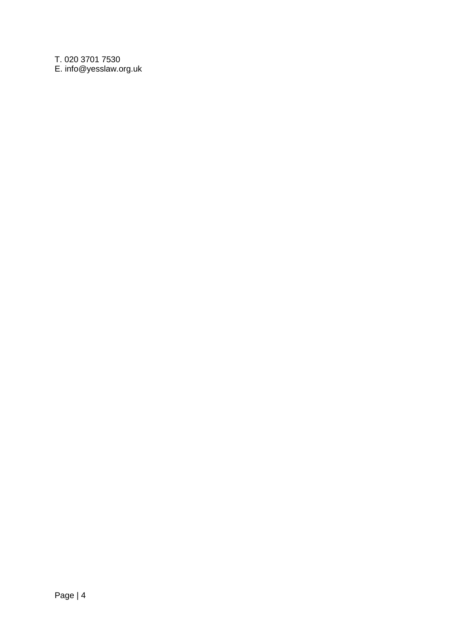T. 020 3701 7530 E. [info@yesslaw.org.uk](mailto:info@yesslaw.org.uk)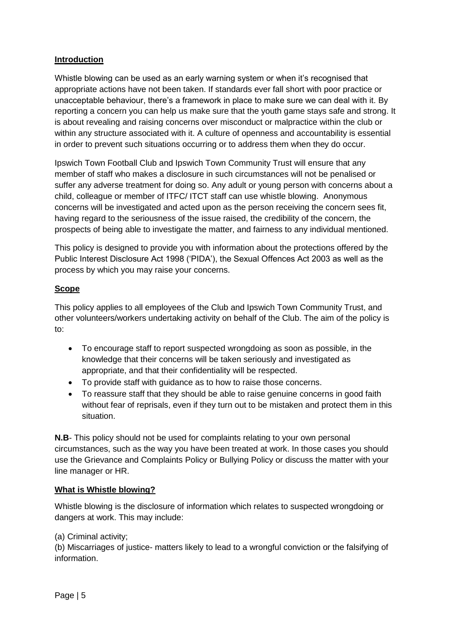## **Introduction**

Whistle blowing can be used as an early warning system or when it's recognised that appropriate actions have not been taken. If standards ever fall short with poor practice or unacceptable behaviour, there's a framework in place to make sure we can deal with it. By reporting a concern you can help us make sure that the youth game stays safe and strong. It is about revealing and raising concerns over misconduct or malpractice within the club or within any structure associated with it. A culture of openness and accountability is essential in order to prevent such situations occurring or to address them when they do occur.

Ipswich Town Football Club and Ipswich Town Community Trust will ensure that any member of staff who makes a disclosure in such circumstances will not be penalised or suffer any adverse treatment for doing so. Any adult or young person with concerns about a child, colleague or member of ITFC/ ITCT staff can use whistle blowing. Anonymous concerns will be investigated and acted upon as the person receiving the concern sees fit, having regard to the seriousness of the issue raised, the credibility of the concern, the prospects of being able to investigate the matter, and fairness to any individual mentioned.

This policy is designed to provide you with information about the protections offered by the Public Interest Disclosure Act 1998 ('PIDA'), the Sexual Offences Act 2003 as well as the process by which you may raise your concerns.

## **Scope**

This policy applies to all employees of the Club and Ipswich Town Community Trust, and other volunteers/workers undertaking activity on behalf of the Club. The aim of the policy is to:

- To encourage staff to report suspected wrongdoing as soon as possible, in the knowledge that their concerns will be taken seriously and investigated as appropriate, and that their confidentiality will be respected.
- To provide staff with guidance as to how to raise those concerns.
- To reassure staff that they should be able to raise genuine concerns in good faith without fear of reprisals, even if they turn out to be mistaken and protect them in this situation.

**N.B**- This policy should not be used for complaints relating to your own personal circumstances, such as the way you have been treated at work. In those cases you should use the Grievance and Complaints Policy or Bullying Policy or discuss the matter with your line manager or HR.

## **What is Whistle blowing?**

Whistle blowing is the disclosure of information which relates to suspected wrongdoing or dangers at work. This may include:

## (a) Criminal activity;

(b) Miscarriages of justice- matters likely to lead to a wrongful conviction or the falsifying of information.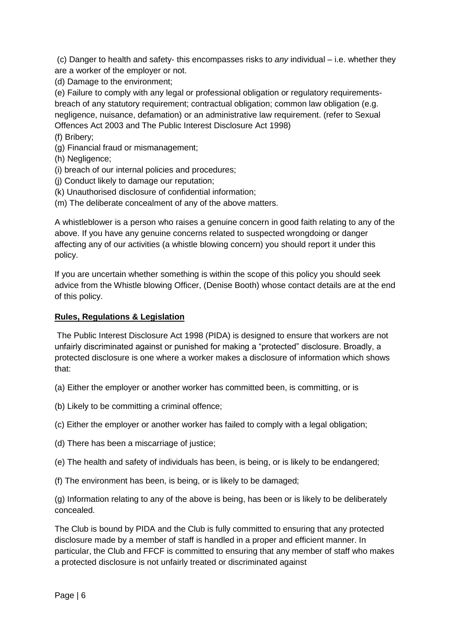(c) Danger to health and safety- this encompasses risks to *any* individual – i.e. whether they are a worker of the employer or not.

(d) Damage to the environment;

(e) Failure to comply with any legal or professional obligation or regulatory requirementsbreach of any statutory requirement; contractual obligation; common law obligation (e.g. negligence, nuisance, defamation) or an administrative law requirement. (refer to Sexual Offences Act 2003 and The Public Interest Disclosure Act 1998)

(f) Bribery;

(g) Financial fraud or mismanagement;

(h) Negligence;

- (i) breach of our internal policies and procedures;
- (j) Conduct likely to damage our reputation;
- (k) Unauthorised disclosure of confidential information;
- (m) The deliberate concealment of any of the above matters.

A whistleblower is a person who raises a genuine concern in good faith relating to any of the above. If you have any genuine concerns related to suspected wrongdoing or danger affecting any of our activities (a whistle blowing concern) you should report it under this policy.

If you are uncertain whether something is within the scope of this policy you should seek advice from the Whistle blowing Officer, (Denise Booth) whose contact details are at the end of this policy.

## **Rules, Regulations & Legislation**

The Public Interest Disclosure Act 1998 (PIDA) is designed to ensure that workers are not unfairly discriminated against or punished for making a "protected" disclosure. Broadly, a protected disclosure is one where a worker makes a disclosure of information which shows that:

(a) Either the employer or another worker has committed been, is committing, or is

- (b) Likely to be committing a criminal offence;
- (c) Either the employer or another worker has failed to comply with a legal obligation;
- (d) There has been a miscarriage of justice;
- (e) The health and safety of individuals has been, is being, or is likely to be endangered;
- (f) The environment has been, is being, or is likely to be damaged;

(g) Information relating to any of the above is being, has been or is likely to be deliberately concealed.

The Club is bound by PIDA and the Club is fully committed to ensuring that any protected disclosure made by a member of staff is handled in a proper and efficient manner. In particular, the Club and FFCF is committed to ensuring that any member of staff who makes a protected disclosure is not unfairly treated or discriminated against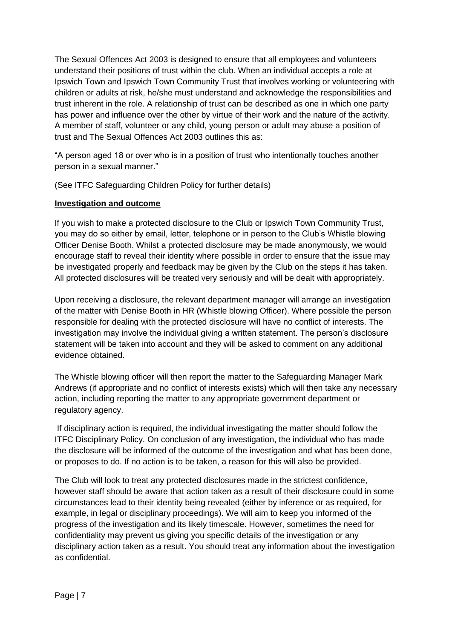The Sexual Offences Act 2003 is designed to ensure that all employees and volunteers understand their positions of trust within the club. When an individual accepts a role at Ipswich Town and Ipswich Town Community Trust that involves working or volunteering with children or adults at risk, he/she must understand and acknowledge the responsibilities and trust inherent in the role. A relationship of trust can be described as one in which one party has power and influence over the other by virtue of their work and the nature of the activity. A member of staff, volunteer or any child, young person or adult may abuse a position of trust and The Sexual Offences Act 2003 outlines this as:

"A person aged 18 or over who is in a position of trust who intentionally touches another person in a sexual manner."

(See ITFC Safeguarding Children Policy for further details)

## **Investigation and outcome**

If you wish to make a protected disclosure to the Club or Ipswich Town Community Trust, you may do so either by email, letter, telephone or in person to the Club's Whistle blowing Officer Denise Booth. Whilst a protected disclosure may be made anonymously, we would encourage staff to reveal their identity where possible in order to ensure that the issue may be investigated properly and feedback may be given by the Club on the steps it has taken. All protected disclosures will be treated very seriously and will be dealt with appropriately.

Upon receiving a disclosure, the relevant department manager will arrange an investigation of the matter with Denise Booth in HR (Whistle blowing Officer). Where possible the person responsible for dealing with the protected disclosure will have no conflict of interests. The investigation may involve the individual giving a written statement. The person's disclosure statement will be taken into account and they will be asked to comment on any additional evidence obtained.

The Whistle blowing officer will then report the matter to the Safeguarding Manager Mark Andrews (if appropriate and no conflict of interests exists) which will then take any necessary action, including reporting the matter to any appropriate government department or regulatory agency.

If disciplinary action is required, the individual investigating the matter should follow the ITFC Disciplinary Policy. On conclusion of any investigation, the individual who has made the disclosure will be informed of the outcome of the investigation and what has been done, or proposes to do. If no action is to be taken, a reason for this will also be provided.

The Club will look to treat any protected disclosures made in the strictest confidence, however staff should be aware that action taken as a result of their disclosure could in some circumstances lead to their identity being revealed (either by inference or as required, for example, in legal or disciplinary proceedings). We will aim to keep you informed of the progress of the investigation and its likely timescale. However, sometimes the need for confidentiality may prevent us giving you specific details of the investigation or any disciplinary action taken as a result. You should treat any information about the investigation as confidential.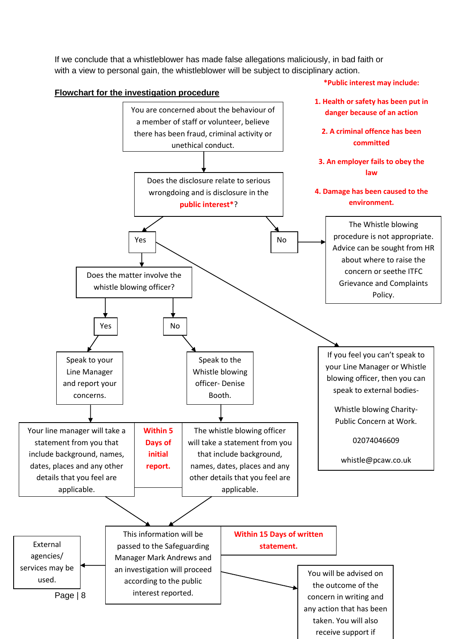If we conclude that a whistleblower has made false allegations maliciously, in bad faith or with a view to personal gain, the whistleblower will be subject to disciplinary action.

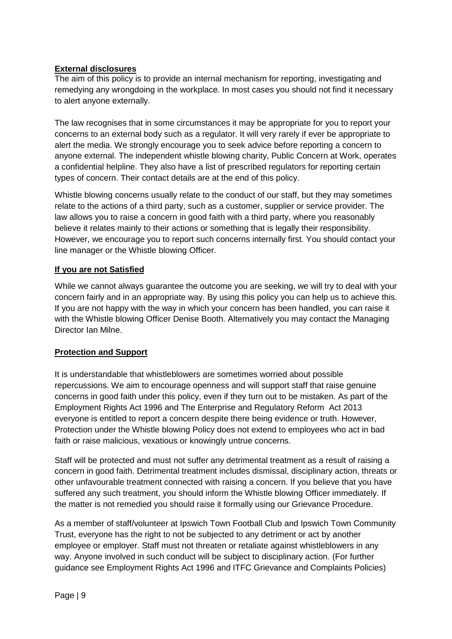## **External disclosures**

The aim of this policy is to provide an internal mechanism for reporting, investigating and remedying any wrongdoing in the workplace. In most cases you should not find it necessary to alert anyone externally.

The law recognises that in some circumstances it may be appropriate for you to report your concerns to an external body such as a regulator. It will very rarely if ever be appropriate to alert the media. We strongly encourage you to seek advice before reporting a concern to anyone external. The independent whistle blowing charity, Public Concern at Work, operates a confidential helpline. They also have a list of prescribed regulators for reporting certain types of concern. Their contact details are at the end of this policy.

Whistle blowing concerns usually relate to the conduct of our staff, but they may sometimes relate to the actions of a third party, such as a customer, supplier or service provider. The law allows you to raise a concern in good faith with a third party, where you reasonably believe it relates mainly to their actions or something that is legally their responsibility. However, we encourage you to report such concerns internally first. You should contact your line manager or the Whistle blowing Officer.

## **If you are not Satisfied**

While we cannot always guarantee the outcome you are seeking, we will try to deal with your concern fairly and in an appropriate way. By using this policy you can help us to achieve this. If you are not happy with the way in which your concern has been handled, you can raise it with the Whistle blowing Officer Denise Booth. Alternatively you may contact the Managing Director Ian Milne.

## **Protection and Support**

It is understandable that whistleblowers are sometimes worried about possible repercussions. We aim to encourage openness and will support staff that raise genuine concerns in good faith under this policy, even if they turn out to be mistaken. As part of the Employment Rights Act 1996 and The Enterprise and Regulatory Reform Act 2013 everyone is entitled to report a concern despite there being evidence or truth. However, Protection under the Whistle blowing Policy does not extend to employees who act in bad faith or raise malicious, vexatious or knowingly untrue concerns.

Staff will be protected and must not suffer any detrimental treatment as a result of raising a concern in good faith. Detrimental treatment includes dismissal, disciplinary action, threats or other unfavourable treatment connected with raising a concern. If you believe that you have suffered any such treatment, you should inform the Whistle blowing Officer immediately. If the matter is not remedied you should raise it formally using our Grievance Procedure.

As a member of staff/volunteer at Ipswich Town Football Club and Ipswich Town Community Trust, everyone has the right to not be subjected to any detriment or act by another employee or employer. Staff must not threaten or retaliate against whistleblowers in any way. Anyone involved in such conduct will be subject to disciplinary action. (For further guidance see Employment Rights Act 1996 and ITFC Grievance and Complaints Policies)